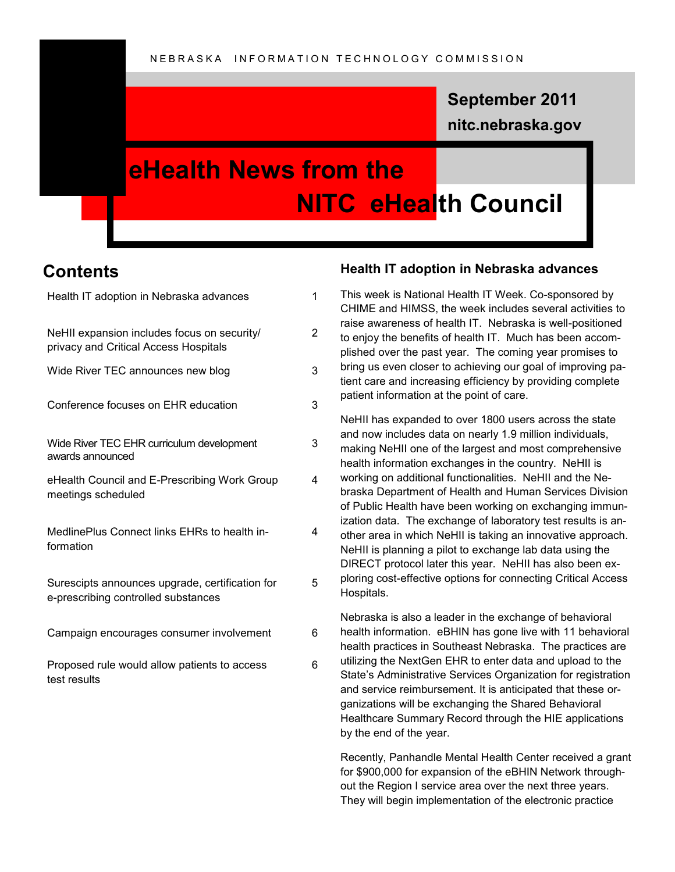### **nitc.nebraska.gov September 2011**

### **eHealth News from the NITC eHealth Council**

### **Contents**

| Health IT adoption in Nebraska advances                                                | 1              |
|----------------------------------------------------------------------------------------|----------------|
| NeHII expansion includes focus on security/<br>privacy and Critical Access Hospitals   | $\overline{2}$ |
| Wide River TEC announces new blog                                                      | 3              |
| Conference focuses on EHR education                                                    | 3              |
| Wide River TEC EHR curriculum development<br>awards announced                          | 3              |
| eHealth Council and E-Prescribing Work Group<br>meetings scheduled                     | 4              |
| MedlinePlus Connect links EHRs to health in-<br>formation                              | 4              |
| Surescipts announces upgrade, certification for<br>e-prescribing controlled substances | 5              |
| Campaign encourages consumer involvement                                               | 6              |
| Proposed rule would allow patients to access<br>test results                           | 6              |

#### **Health IT adoption in Nebraska advances**

This week is National Health IT Week. Co-sponsored by CHIME and HIMSS, the week includes several activities to raise awareness of health IT. Nebraska is well-positioned to enjoy the benefits of health IT. Much has been accomplished over the past year. The coming year promises to bring us even closer to achieving our goal of improving patient care and increasing efficiency by providing complete patient information at the point of care.

NeHII has expanded to over 1800 users across the state and now includes data on nearly 1.9 million individuals, making NeHII one of the largest and most comprehensive health information exchanges in the country. NeHII is working on additional functionalities. NeHII and the Nebraska Department of Health and Human Services Division of Public Health have been working on exchanging immunization data. The exchange of laboratory test results is another area in which NeHII is taking an innovative approach. NeHII is planning a pilot to exchange lab data using the DIRECT protocol later this year. NeHII has also been exploring cost-effective options for connecting Critical Access Hospitals.

Nebraska is also a leader in the exchange of behavioral health information. eBHIN has gone live with 11 behavioral health practices in Southeast Nebraska. The practices are utilizing the NextGen EHR to enter data and upload to the State's Administrative Services Organization for registration and service reimbursement. It is anticipated that these organizations will be exchanging the Shared Behavioral Healthcare Summary Record through the HIE applications by the end of the year.

Recently, Panhandle Mental Health Center received a grant for \$900,000 for expansion of the eBHIN Network throughout the Region I service area over the next three years. They will begin implementation of the electronic practice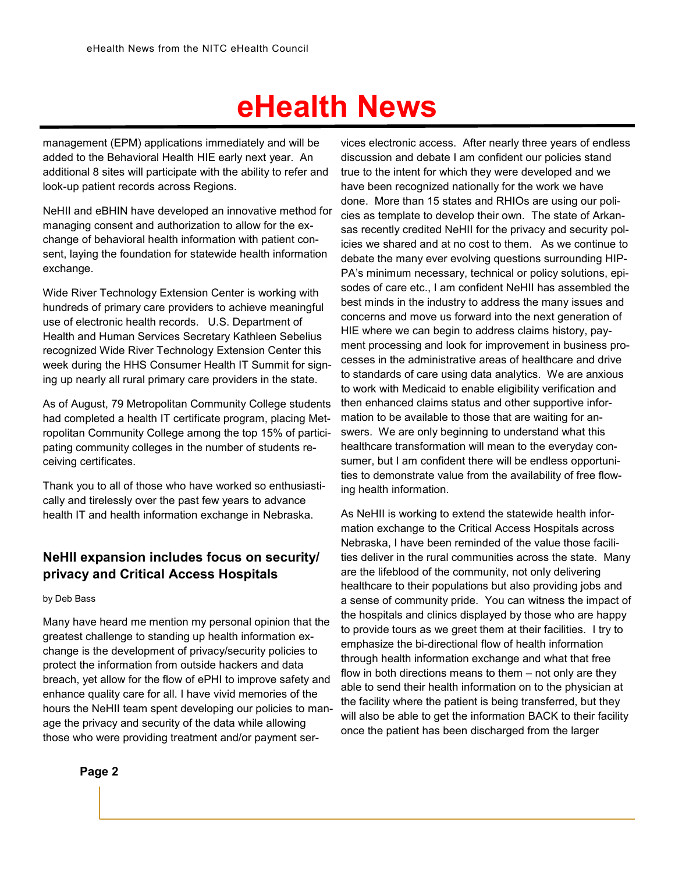management (EPM) applications immediately and will be added to the Behavioral Health HIE early next year. An additional 8 sites will participate with the ability to refer and look-up patient records across Regions.

NeHII and eBHIN have developed an innovative method for managing consent and authorization to allow for the exchange of behavioral health information with patient consent, laying the foundation for statewide health information exchange.

Wide River Technology Extension Center is working with hundreds of primary care providers to achieve meaningful use of electronic health records. U.S. Department of Health and Human Services Secretary Kathleen Sebelius recognized Wide River Technology Extension Center this week during the HHS Consumer Health IT Summit for signing up nearly all rural primary care providers in the state.

As of August, 79 Metropolitan Community College students had completed a health IT certificate program, placing Metropolitan Community College among the top 15% of participating community colleges in the number of students receiving certificates.

Thank you to all of those who have worked so enthusiastically and tirelessly over the past few years to advance health IT and health information exchange in Nebraska.

### **NeHII expansion includes focus on security/ privacy and Critical Access Hospitals**

by Deb Bass

Many have heard me mention my personal opinion that the greatest challenge to standing up health information exchange is the development of privacy/security policies to protect the information from outside hackers and data breach, yet allow for the flow of ePHI to improve safety and enhance quality care for all. I have vivid memories of the hours the NeHII team spent developing our policies to manage the privacy and security of the data while allowing those who were providing treatment and/or payment ser-

**Page 2**

vices electronic access. After nearly three years of endless discussion and debate I am confident our policies stand true to the intent for which they were developed and we have been recognized nationally for the work we have done. More than 15 states and RHIOs are using our policies as template to develop their own. The state of Arkansas recently credited NeHII for the privacy and security policies we shared and at no cost to them. As we continue to debate the many ever evolving questions surrounding HIP-PA's minimum necessary, technical or policy solutions, episodes of care etc., I am confident NeHII has assembled the best minds in the industry to address the many issues and concerns and move us forward into the next generation of HIE where we can begin to address claims history, payment processing and look for improvement in business processes in the administrative areas of healthcare and drive to standards of care using data analytics. We are anxious to work with Medicaid to enable eligibility verification and then enhanced claims status and other supportive information to be available to those that are waiting for answers. We are only beginning to understand what this healthcare transformation will mean to the everyday consumer, but I am confident there will be endless opportunities to demonstrate value from the availability of free flowing health information.

As NeHII is working to extend the statewide health information exchange to the Critical Access Hospitals across Nebraska, I have been reminded of the value those facilities deliver in the rural communities across the state. Many are the lifeblood of the community, not only delivering healthcare to their populations but also providing jobs and a sense of community pride. You can witness the impact of the hospitals and clinics displayed by those who are happy to provide tours as we greet them at their facilities. I try to emphasize the bi-directional flow of health information through health information exchange and what that free flow in both directions means to them – not only are they able to send their health information on to the physician at the facility where the patient is being transferred, but they will also be able to get the information BACK to their facility once the patient has been discharged from the larger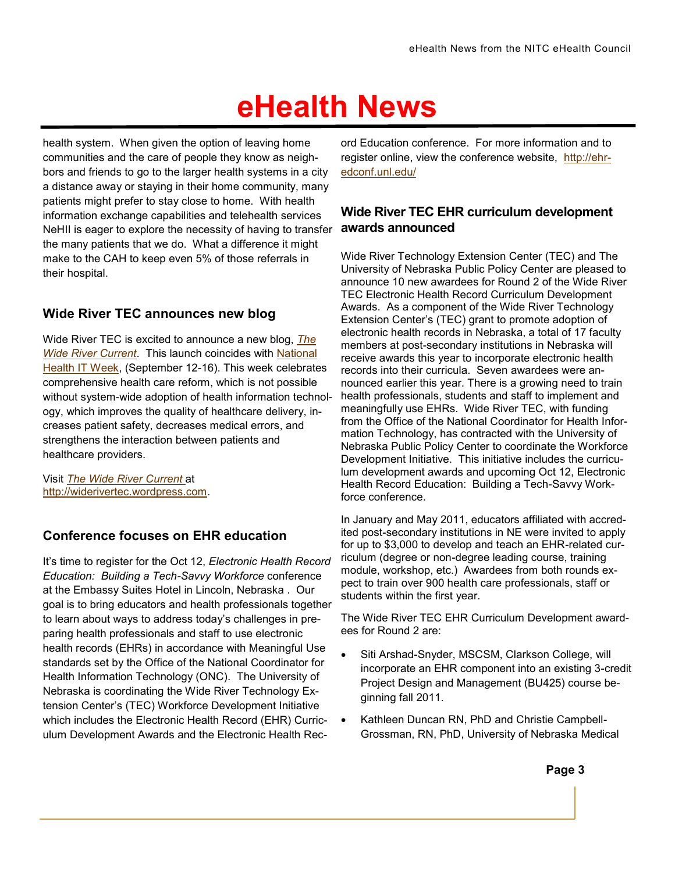health system. When given the option of leaving home communities and the care of people they know as neighbors and friends to go to the larger health systems in a city a distance away or staying in their home community, many patients might prefer to stay close to home. With health information exchange capabilities and telehealth services NeHII is eager to explore the necessity of having to transfer the many patients that we do. What a difference it might make to the CAH to keep even 5% of those referrals in their hospital.

### **Wide River TEC announces new blog**

Wide River TEC is excited to announce a new blog, *[The](http://click.icptrack.com/icp/relay.php?r=1055108151&msgid=5670080&act=8UOP&c=47185&destination=http%3A%2F%2Fwiderivertec.wordpress.com%2F)  [Wide River Current](http://click.icptrack.com/icp/relay.php?r=1055108151&msgid=5670080&act=8UOP&c=47185&destination=http%3A%2F%2Fwiderivertec.wordpress.com%2F)*. This launch coincides with [National](http://click.icptrack.com/icp/relay.php?r=1055108151&msgid=5670080&act=8UOP&c=47185&destination=http%3A%2F%2Fwww.healthitweek.org%2Findex.asp)  [Health IT Week,](http://click.icptrack.com/icp/relay.php?r=1055108151&msgid=5670080&act=8UOP&c=47185&destination=http%3A%2F%2Fwww.healthitweek.org%2Findex.asp) (September 12-16). This week celebrates comprehensive health care reform, which is not possible without system-wide adoption of health information technology, which improves the quality of healthcare delivery, increases patient safety, decreases medical errors, and strengthens the interaction between patients and healthcare providers.

Visit *[The Wide River Current](http://click.icptrack.com/icp/relay.php?r=1055108151&msgid=5670080&act=8UOP&c=47185&destination=http%3A%2F%2Fwiderivertec.wordpress.com%2F)* at [http://widerivertec.wordpress.com.](http://widerivertec.wordpress.com/)

### **Conference focuses on EHR education**

It's time to register for the Oct 12, *Electronic Health Record Education: Building a Tech-Savvy Workforce* conference at the Embassy Suites Hotel in Lincoln, Nebraska . Our goal is to bring educators and health professionals together to learn about ways to address today's challenges in preparing health professionals and staff to use electronic health records (EHRs) in accordance with Meaningful Use standards set by the Office of the National Coordinator for Health Information Technology (ONC). The University of Nebraska is coordinating the Wide River Technology Extension Center's (TEC) Workforce Development Initiative which includes the Electronic Health Record (EHR) Curriculum Development Awards and the Electronic Health Rec-

ord Education conference. For more information and to register online, view the conference website, [http://ehr](http://ehr-edconf.unl.edu/)[edconf.unl.edu/](http://ehr-edconf.unl.edu/)

#### **Wide River TEC EHR curriculum development awards announced**

Wide River Technology Extension Center (TEC) and The University of Nebraska Public Policy Center are pleased to announce 10 new awardees for Round 2 of the Wide River TEC Electronic Health Record Curriculum Development Awards. As a component of the Wide River Technology Extension Center's (TEC) grant to promote adoption of electronic health records in Nebraska, a total of 17 faculty members at post-secondary institutions in Nebraska will receive awards this year to incorporate electronic health records into their curricula. Seven awardees were announced earlier this year. There is a growing need to train health professionals, students and staff to implement and meaningfully use EHRs. Wide River TEC, with funding from the Office of the National Coordinator for Health Information Technology, has contracted with the University of Nebraska Public Policy Center to coordinate the Workforce Development Initiative. This initiative includes the curriculum development awards and upcoming Oct 12, Electronic Health Record Education: Building a Tech-Savvy Workforce conference.

In January and May 2011, educators affiliated with accredited post-secondary institutions in NE were invited to apply for up to \$3,000 to develop and teach an EHR-related curriculum (degree or non-degree leading course, training module, workshop, etc.) Awardees from both rounds expect to train over 900 health care professionals, staff or students within the first year.

The Wide River TEC EHR Curriculum Development awardees for Round 2 are:

- Siti Arshad-Snyder, MSCSM, Clarkson College, will incorporate an EHR component into an existing 3-credit Project Design and Management (BU425) course beginning fall 2011.
- Kathleen Duncan RN, PhD and Christie Campbell-Grossman, RN, PhD, University of Nebraska Medical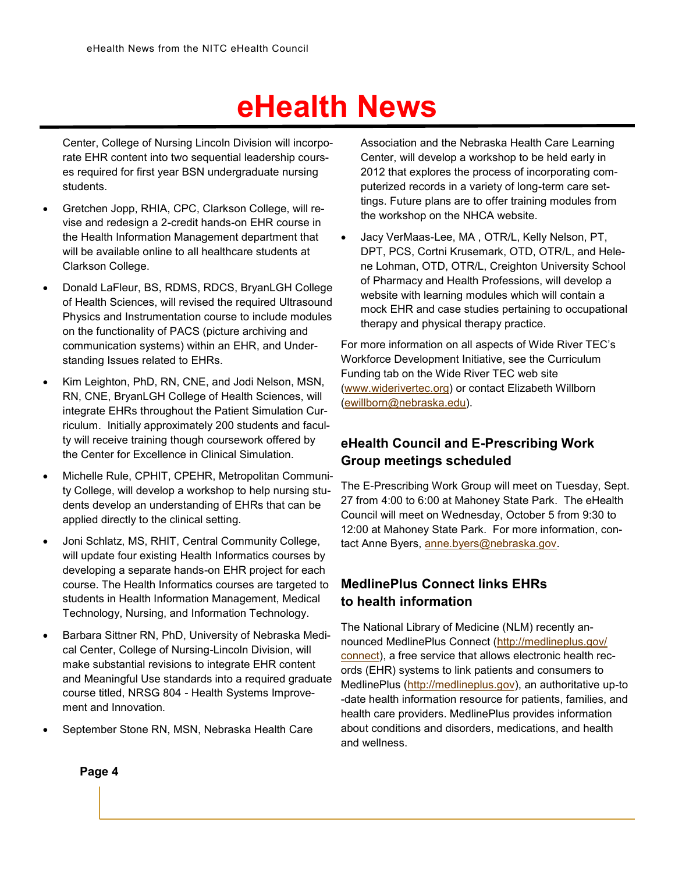Center, College of Nursing Lincoln Division will incorporate EHR content into two sequential leadership courses required for first year BSN undergraduate nursing students.

- Gretchen Jopp, RHIA, CPC, Clarkson College, will revise and redesign a 2-credit hands-on EHR course in the Health Information Management department that will be available online to all healthcare students at Clarkson College.
- Donald LaFleur, BS, RDMS, RDCS, BryanLGH College of Health Sciences, will revised the required Ultrasound Physics and Instrumentation course to include modules on the functionality of PACS (picture archiving and communication systems) within an EHR, and Understanding Issues related to EHRs.
- Kim Leighton, PhD, RN, CNE, and Jodi Nelson, MSN, RN, CNE, BryanLGH College of Health Sciences, will integrate EHRs throughout the Patient Simulation Curriculum. Initially approximately 200 students and faculty will receive training though coursework offered by the Center for Excellence in Clinical Simulation.
- Michelle Rule, CPHIT, CPEHR, Metropolitan Community College, will develop a workshop to help nursing students develop an understanding of EHRs that can be applied directly to the clinical setting.
- Joni Schlatz, MS, RHIT, Central Community College, will update four existing Health Informatics courses by developing a separate hands-on EHR project for each course. The Health Informatics courses are targeted to students in Health Information Management, Medical Technology, Nursing, and Information Technology.
- Barbara Sittner RN, PhD, University of Nebraska Medical Center, College of Nursing-Lincoln Division, will make substantial revisions to integrate EHR content and Meaningful Use standards into a required graduate course titled, NRSG 804 - Health Systems Improvement and Innovation.
- September Stone RN, MSN, Nebraska Health Care

Association and the Nebraska Health Care Learning Center, will develop a workshop to be held early in 2012 that explores the process of incorporating computerized records in a variety of long-term care settings. Future plans are to offer training modules from the workshop on the NHCA website.

 Jacy VerMaas-Lee, MA , OTR/L, Kelly Nelson, PT, DPT, PCS, Cortni Krusemark, OTD, OTR/L, and Helene Lohman, OTD, OTR/L, Creighton University School of Pharmacy and Health Professions, will develop a website with learning modules which will contain a mock EHR and case studies pertaining to occupational therapy and physical therapy practice.

For more information on all aspects of Wide River TEC's Workforce Development Initiative, see the Curriculum Funding tab on the Wide River TEC web site ([www.widerivertec.org\)](http://www.widerivertec.org/) or contact Elizabeth Willborn ([ewillborn@nebraska.edu\)](mailto:ewillborn@nebraska.edu).

### **eHealth Council and E-Prescribing Work Group meetings scheduled**

The E-Prescribing Work Group will meet on Tuesday, Sept. 27 from 4:00 to 6:00 at Mahoney State Park. The eHealth Council will meet on Wednesday, October 5 from 9:30 to 12:00 at Mahoney State Park. For more information, contact Anne Byers, [anne.byers@nebraska.gov.](mailto:anne.byers@nebraska.gov)

### **MedlinePlus Connect links EHRs to health information**

The National Library of Medicine (NLM) recently announced MedlinePlus Connect ([http://medlineplus.gov/](http://medlineplus.gov/connect) [connect\),](http://medlineplus.gov/connect) a free service that allows electronic health records (EHR) systems to link patients and consumers to MedlinePlus ([http://medlineplus.gov\)](http://medlineplus.gov/connect), an authoritative up-to -date health information resource for patients, families, and health care providers. MedlinePlus provides information about conditions and disorders, medications, and health and wellness.

**Page 4**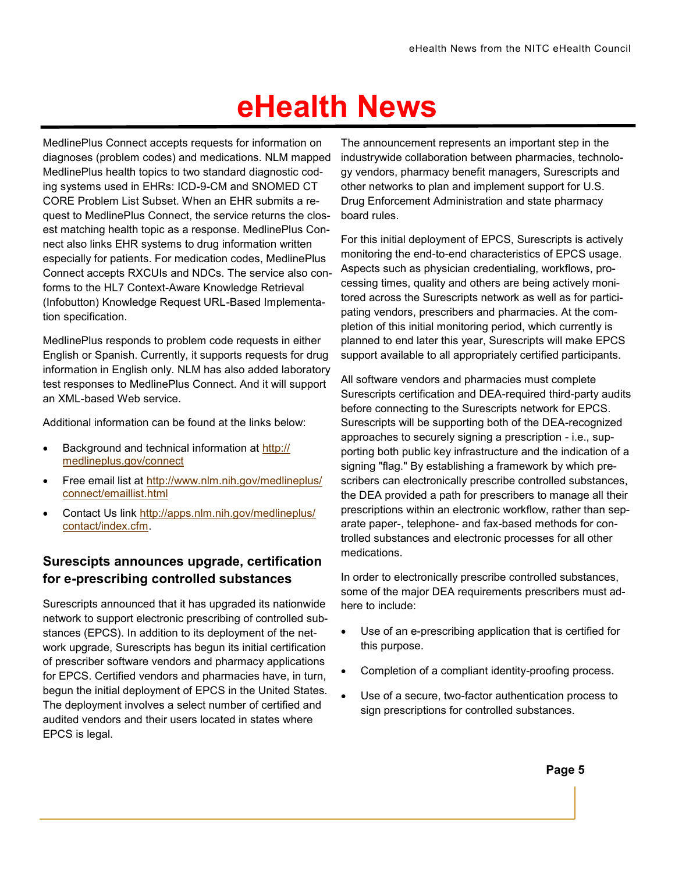MedlinePlus Connect accepts requests for information on diagnoses (problem codes) and medications. NLM mapped MedlinePlus health topics to two standard diagnostic coding systems used in EHRs: ICD-9-CM and SNOMED CT CORE Problem List Subset. When an EHR submits a request to MedlinePlus Connect, the service returns the closest matching health topic as a response. MedlinePlus Connect also links EHR systems to drug information written especially for patients. For medication codes, MedlinePlus Connect accepts RXCUIs and NDCs. The service also conforms to the HL7 Context-Aware Knowledge Retrieval (Infobutton) Knowledge Request URL-Based Implementation specification.

MedlinePlus responds to problem code requests in either English or Spanish. Currently, it supports requests for drug information in English only. NLM has also added laboratory test responses to MedlinePlus Connect. And it will support an XML-based Web service.

Additional information can be found at the links below:

- Background and technical information at [http://](http://medlineplus.gov/connect) [medlineplus.gov/connect](http://medlineplus.gov/connect)
- Free email list at [http://www.nlm.nih.gov/medlineplus/](http://www.nlm.nih.gov/medlineplus/connect/emaillist.html) [connect/emaillist.html](http://www.nlm.nih.gov/medlineplus/connect/emaillist.html)
- Contact Us link [http://apps.nlm.nih.gov/medlineplus/](http://apps.nlm.nih.gov/medlineplus/contact/index.cfm) [contact/index.cfm.](http://apps.nlm.nih.gov/medlineplus/contact/index.cfm)

#### **Surescipts announces upgrade, certification for e-prescribing controlled substances**

Surescripts announced that it has upgraded its nationwide network to support electronic prescribing of controlled substances (EPCS). In addition to its deployment of the network upgrade, Surescripts has begun its initial certification of prescriber software vendors and pharmacy applications for EPCS. Certified vendors and pharmacies have, in turn, begun the initial deployment of EPCS in the United States. The deployment involves a select number of certified and audited vendors and their users located in states where EPCS is legal.

The announcement represents an important step in the industrywide collaboration between pharmacies, technology vendors, pharmacy benefit managers, Surescripts and other networks to plan and implement support for U.S. Drug Enforcement Administration and state pharmacy board rules.

For this initial deployment of EPCS, Surescripts is actively monitoring the end-to-end characteristics of EPCS usage. Aspects such as physician credentialing, workflows, processing times, quality and others are being actively monitored across the Surescripts network as well as for participating vendors, prescribers and pharmacies. At the completion of this initial monitoring period, which currently is planned to end later this year, Surescripts will make EPCS support available to all appropriately certified participants.

All software vendors and pharmacies must complete Surescripts certification and DEA-required third-party audits before connecting to the Surescripts network for EPCS. Surescripts will be supporting both of the DEA-recognized approaches to securely signing a prescription - i.e., supporting both public key infrastructure and the indication of a signing "flag." By establishing a framework by which prescribers can electronically prescribe controlled substances, the DEA provided a path for prescribers to manage all their prescriptions within an electronic workflow, rather than separate paper-, telephone- and fax-based methods for controlled substances and electronic processes for all other medications.

In order to electronically prescribe controlled substances, some of the major DEA requirements prescribers must adhere to include:

- Use of an e-prescribing application that is certified for this purpose.
- Completion of a compliant identity-proofing process.
- Use of a secure, two-factor authentication process to sign prescriptions for controlled substances.